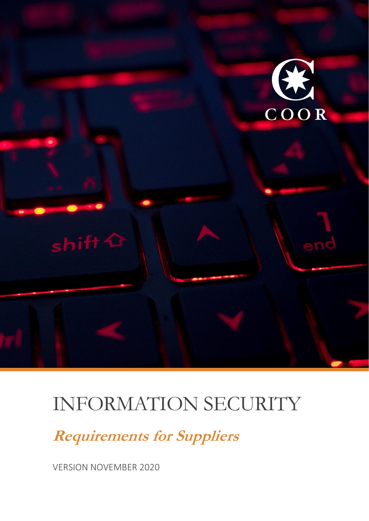

# INFORMATION SECURITY

**Requirements for Suppliers**

VERSION NOVEMBER 2020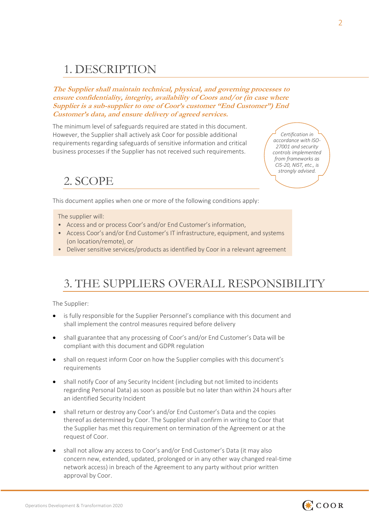### 1. DESCRIPTION

**The Supplier shall maintain technical, physical, and governing processes to ensure confidentiality, integrity, availability of Coors and/or (in case where Supplier is a sub-supplier to one of Coor's customer "End Customer") End Customer's data, and ensure delivery of agreed services.**

The minimum level of safeguards required are stated in this document. However, the Supplier shall actively ask Coor for possible additional requirements regarding safeguards of sensitive information and critical business processes if the Supplier has not received such requirements.

*Certification in accordance with ISO-27001 and security controls implemented from frameworks as CIS-20, NIST, etc., is strongly advised.*

### 2. SCOPE

This document applies when one or more of the following conditions apply:

#### The supplier will:

- Access and or process Coor's and/or End Customer's information,
- Access Coor's and/or End Customer's IT infrastructure, equipment, and systems (on location/remote), or
- Deliver sensitive services/products as identified by Coor in a relevant agreement

### 3. THE SUPPLIERS OVERALL RESPONSIBILITY

The Supplier:

- is fully responsible for the Supplier Personnel's compliance with this document and shall implement the control measures required before delivery
- shall guarantee that any processing of Coor's and/or End Customer's Data will be compliant with this document and GDPR regulation
- shall on request inform Coor on how the Supplier complies with this document's requirements
- shall notify Coor of any Security Incident (including but not limited to incidents regarding Personal Data) as soon as possible but no later than within 24 hours after an identified Security Incident
- shall return or destroy any Coor's and/or End Customer's Data and the copies thereof as determined by Coor. The Supplier shall confirm in writing to Coor that the Supplier has met this requirement on termination of the Agreement or at the request of Coor.
- shall not allow any access to Coor's and/or End Customer's Data (it may also concern new, extended, updated, prolonged or in any other way changed real-time network access) in breach of the Agreement to any party without prior written approval by Coor.

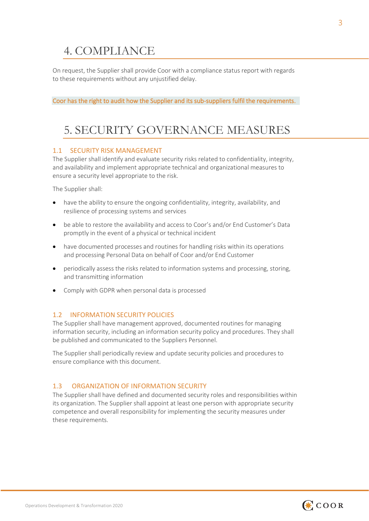### 4. COMPLIANCE

On request, the Supplier shall provide Coor with a compliance status report with regards to these requirements without any unjustified delay.

Coor has the right to audit how the Supplier and its sub-suppliers fulfil the requirements.

### 5. SECURITY GOVERNANCE MEASURES

#### 1.1 SECURITY RISK MANAGEMENT

The Supplier shall identify and evaluate security risks related to confidentiality, integrity, and availability and implement appropriate technical and organizational measures to ensure a security level appropriate to the risk.

The Supplier shall:

- have the ability to ensure the ongoing confidentiality, integrity, availability, and resilience of processing systems and services
- be able to restore the availability and access to Coor's and/or End Customer's Data promptly in the event of a physical or technical incident
- have documented processes and routines for handling risks within its operations and processing Personal Data on behalf of Coor and/or End Customer
- periodically assess the risks related to information systems and processing, storing, and transmitting information
- Comply with GDPR when personal data is processed

#### 1.2 INFORMATION SECURITY POLICIES

The Supplier shall have management approved, documented routines for managing information security, including an information security policy and procedures. They shall be published and communicated to the Suppliers Personnel.

The Supplier shall periodically review and update security policies and procedures to ensure compliance with this document.

#### 1.3 ORGANIZATION OF INFORMATION SECURITY

The Supplier shall have defined and documented security roles and responsibilities within its organization. The Supplier shall appoint at least one person with appropriate security competence and overall responsibility for implementing the security measures under these requirements.

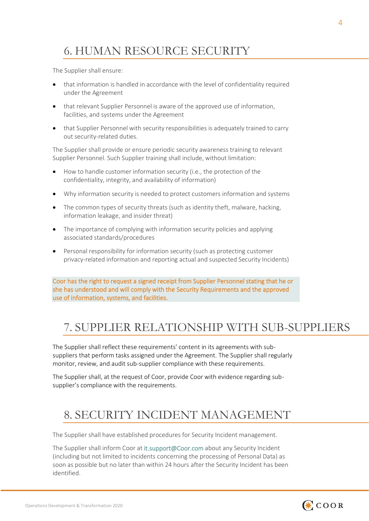## 6. HUMAN RESOURCE SECURITY

The Supplier shall ensure:

- that information is handled in accordance with the level of confidentiality required under the Agreement
- that relevant Supplier Personnel is aware of the approved use of information, facilities, and systems under the Agreement
- that Supplier Personnel with security responsibilities is adequately trained to carry out security-related duties.

The Supplier shall provide or ensure periodic security awareness training to relevant Supplier Personnel. Such Supplier training shall include, without limitation:

- How to handle customer information security (i.e., the protection of the confidentiality, integrity, and availability of information)
- Why information security is needed to protect customers information and systems
- The common types of security threats (such as identity theft, malware, hacking, information leakage, and insider threat)
- The importance of complying with information security policies and applying associated standards/procedures
- Personal responsibility for information security (such as protecting customer privacy-related information and reporting actual and suspected Security Incidents)

Coor has the right to request a signed receipt from Supplier Personnel stating that he or she has understood and will comply with the Security Requirements and the approved use of information, systems, and facilities.

### 7. SUPPLIER RELATIONSHIP WITH SUB-SUPPLIERS

The Supplier shall reflect these requirements' content in its agreements with subsuppliers that perform tasks assigned under the Agreement. The Supplier shall regularly monitor, review, and audit sub-supplier compliance with these requirements.

The Supplier shall, at the request of Coor, provide Coor with evidence regarding subsupplier's compliance with the requirements.

### 8. SECURITY INCIDENT MANAGEMENT

The Supplier shall have established procedures for Security Incident management.

The Supplier shall inform Coor at it.support@Coor.com about any Security Incident (including but not limited to incidents concerning the processing of Personal Data) as soon as possible but no later than within 24 hours after the Security Incident has been identified.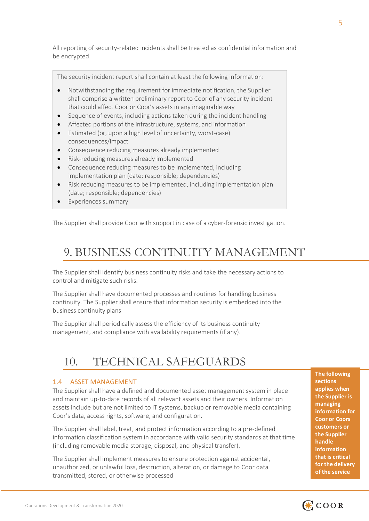All reporting of security-related incidents shall be treated as confidential information and be encrypted.

The security incident report shall contain at least the following information:

- Notwithstanding the requirement for immediate notification, the Supplier shall comprise a written preliminary report to Coor of any security incident that could affect Coor or Coor's assets in any imaginable way
- Sequence of events, including actions taken during the incident handling
- Affected portions of the infrastructure, systems, and information
- Estimated (or, upon a high level of uncertainty, worst-case) consequences/impact
- Consequence reducing measures already implemented
- Risk-reducing measures already implemented
- Consequence reducing measures to be implemented, including implementation plan (date; responsible; dependencies)
- Risk reducing measures to be implemented, including implementation plan (date; responsible; dependencies)
- Experiences summary

The Supplier shall provide Coor with support in case of a cyber-forensic investigation.

### 9. BUSINESS CONTINUITY MANAGEMENT

The Supplier shall identify business continuity risks and take the necessary actions to control and mitigate such risks.

The Supplier shall have documented processes and routines for handling business continuity. The Supplier shall ensure that information security is embedded into the business continuity plans

The Supplier shall periodically assess the efficiency of its business continuity management, and compliance with availability requirements (if any).

### 10. TECHNICAL SAFEGUARDS

#### 1.4 ASSET MANAGEMENT

The Supplier shall have a defined and documented asset management system in place and maintain up-to-date records of all relevant assets and their owners. Information assets include but are not limited to IT systems, backup or removable media containing Coor's data, access rights, software, and configuration.

The Supplier shall label, treat, and protect information according to a pre-defined information classification system in accordance with valid security standards at that time (including removable media storage, disposal, and physical transfer).

The Supplier shall implement measures to ensure protection against accidental, unauthorized, or unlawful loss, destruction, alteration, or damage to Coor data transmitted, stored, or otherwise processed

**The following sections applies when the Supplier is managing information for Coor or Coors customers or the Supplier handle information that is critical for the delivery of the service** 

from devices or systems not

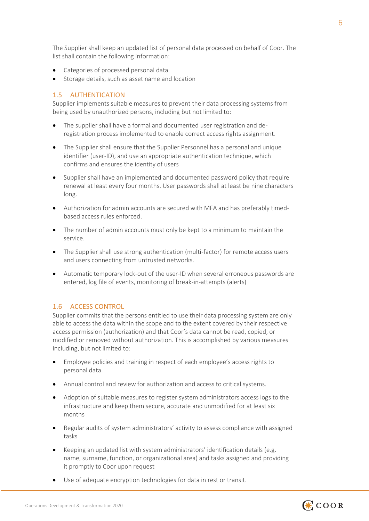The Supplier shall keep an updated list of personal data processed on behalf of Coor. The list shall contain the following information:

- Categories of processed personal data
- Storage details, such as asset name and location

#### 1.5 AUTHENTICATION

Supplier implements suitable measures to prevent their data processing systems from being used by unauthorized persons, including but not limited to:

- The supplier shall have a formal and documented user registration and deregistration process implemented to enable correct access rights assignment.
- The Supplier shall ensure that the Supplier Personnel has a personal and unique identifier (user-ID), and use an appropriate authentication technique, which confirms and ensures the identity of users
- Supplier shall have an implemented and documented password policy that require renewal at least every four months. User passwords shall at least be nine characters long.
- Authorization for admin accounts are secured with MFA and has preferably timedbased access rules enforced.
- The number of admin accounts must only be kept to a minimum to maintain the service.
- The Supplier shall use strong authentication (multi-factor) for remote access users and users connecting from untrusted networks.
- Automatic temporary lock-out of the user-ID when several erroneous passwords are entered, log file of events, monitoring of break-in-attempts (alerts)

#### 1.6 ACCESS CONTROL

Supplier commits that the persons entitled to use their data processing system are only able to access the data within the scope and to the extent covered by their respective access permission (authorization) and that Coor's data cannot be read, copied, or modified or removed without authorization. This is accomplished by various measures including, but not limited to:

- Employee policies and training in respect of each employee's access rights to personal data.
- Annual control and review for authorization and access to critical systems.
- Adoption of suitable measures to register system administrators access logs to the infrastructure and keep them secure, accurate and unmodified for at least six months
- Regular audits of system administrators' activity to assess compliance with assigned tasks
- Keeping an updated list with system administrators' identification details (e.g. name, surname, function, or organizational area) and tasks assigned and providing it promptly to Coor upon request
- Use of adequate encryption technologies for data in rest or transit.

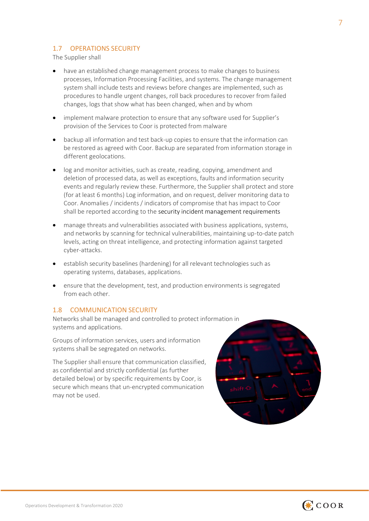#### 1.7 OPERATIONS SECURITY

The Supplier shall

- have an established change management process to make changes to business processes, Information Processing Facilities, and systems. The change management system shall include tests and reviews before changes are implemented, such as procedures to handle urgent changes, roll back procedures to recover from failed changes, logs that show what has been changed, when and by whom
- implement malware protection to ensure that any software used for Supplier's provision of the Services to Coor is protected from malware
- backup all information and test back-up copies to ensure that the information can be restored as agreed with Coor. Backup are separated from information storage in different geolocations.
- log and monitor activities, such as create, reading, copying, amendment and deletion of processed data, as well as exceptions, faults and information security events and regularly review these. Furthermore, the Supplier shall protect and store (for at least 6 months) Log information, and on request, deliver monitoring data to Coor. Anomalies / incidents / indicators of compromise that has impact to Coor shall be reported according to the security incident management requirements
- manage threats and vulnerabilities associated with business applications, systems, and networks by scanning for technical vulnerabilities, maintaining up-to-date patch levels, acting on threat intelligence, and protecting information against targeted cyber-attacks.
- establish security baselines (hardening) for all relevant technologies such as operating systems, databases, applications.
- ensure that the development, test, and production environments is segregated from each other.

#### 1.8 COMMUNICATION SECURITY

Networks shall be managed and controlled to protect information in systems and applications.

Groups of information services, users and information systems shall be segregated on networks.

The Supplier shall ensure that communication classified, as confidential and strictly confidential (as further detailed below) or by specific requirements by Coor, is secure which means that un-encrypted communication may not be used.



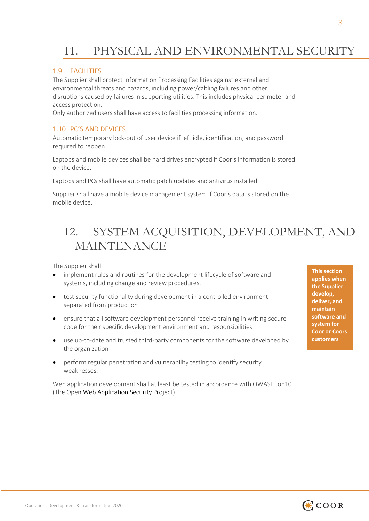# 11. PHYSICAL AND ENVIRONMENTAL SECURITY

#### 1.9 FACILITIES

The Supplier shall protect Information Processing Facilities against external and environmental threats and hazards, including power/cabling failures and other disruptions caused by failures in supporting utilities. This includes physical perimeter and access protection.

Only authorized users shall have access to facilities processing information.

#### 1.10 PC'S AND DEVICES

Automatic temporary lock-out of user device if left idle, identification, and password required to reopen.

Laptops and mobile devices shall be hard drives encrypted if Coor's information is stored on the device.

Laptops and PCs shall have automatic patch updates and antivirus installed.

Supplier shall have a mobile device management system if Coor's data is stored on the mobile device.

### 12. SYSTEM ACQUISITION, DEVELOPMENT, AND MAINTENANCE

The Supplier shall

- implement rules and routines for the development lifecycle of software and systems, including change and review procedures.
- test security functionality during development in a controlled environment separated from production
- ensure that all software development personnel receive training in writing secure code for their specific development environment and responsibilities
- use up-to-date and trusted third-party components for the software developed by the organization
- perform regular penetration and vulnerability testing to identify security weaknesses.

Web application development shall at least be tested in accordance with OWASP top10 (The Open Web Application Security Project)

**This section applies when the Supplier develop, deliver, and maintain software and system for Coor or Coors customers**